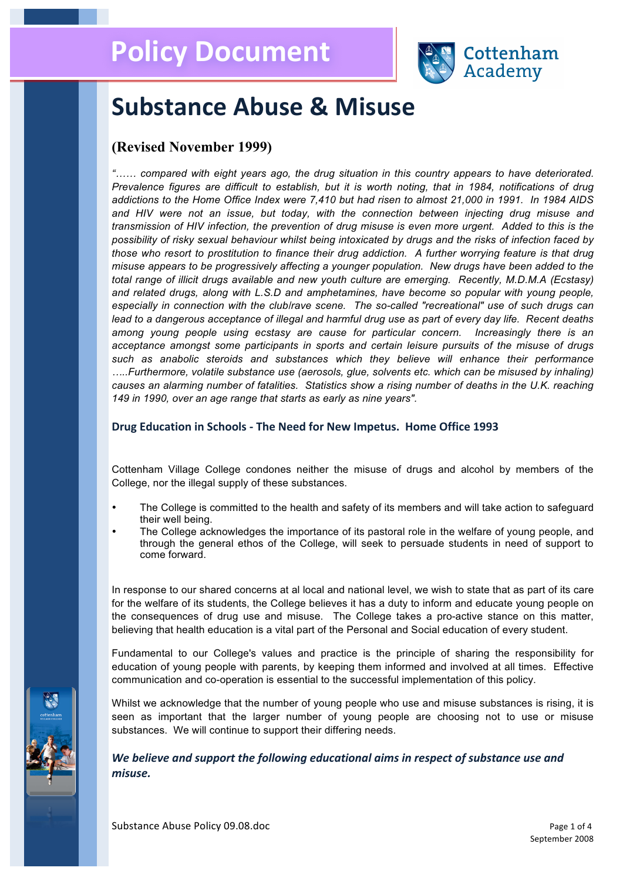

## **Substance Abuse & Misuse**

## **(Revised November 1999)**

*"…… compared with eight years ago, the drug situation in this country appears to have deteriorated. Prevalence figures are difficult to establish, but it is worth noting, that in 1984, notifications of drug addictions to the Home Office Index were 7,410 but had risen to almost 21,000 in 1991. In 1984 AIDS and HIV were not an issue, but today, with the connection between injecting drug misuse and transmission of HIV infection, the prevention of drug misuse is even more urgent. Added to this is the possibility of risky sexual behaviour whilst being intoxicated by drugs and the risks of infection faced by those who resort to prostitution to finance their drug addiction. A further worrying feature is that drug misuse appears to be progressively affecting a younger population. New drugs have been added to the total range of illicit drugs available and new youth culture are emerging. Recently, M.D.M.A (Ecstasy) and related drugs, along with L.S.D and amphetamines, have become so popular with young people, especially in connection with the club/rave scene. The so-called "recreational" use of such drugs can lead to a dangerous acceptance of illegal and harmful drug use as part of every day life. Recent deaths among young people using ecstasy are cause for particular concern. Increasingly there is an acceptance amongst some participants in sports and certain leisure pursuits of the misuse of drugs such as anabolic steroids and substances which they believe will enhance their performance …..Furthermore, volatile substance use (aerosols, glue, solvents etc. which can be misused by inhaling) causes an alarming number of fatalities. Statistics show a rising number of deaths in the U.K. reaching 149 in 1990, over an age range that starts as early as nine years".*

#### Drug Education in Schools - The Need for New Impetus. Home Office 1993

Cottenham Village College condones neither the misuse of drugs and alcohol by members of the College, nor the illegal supply of these substances.

- The College is committed to the health and safety of its members and will take action to safeguard their well being.
- The College acknowledges the importance of its pastoral role in the welfare of young people, and through the general ethos of the College, will seek to persuade students in need of support to come forward.

In response to our shared concerns at al local and national level, we wish to state that as part of its care for the welfare of its students, the College believes it has a duty to inform and educate young people on the consequences of drug use and misuse. The College takes a pro-active stance on this matter, believing that health education is a vital part of the Personal and Social education of every student.

Fundamental to our College's values and practice is the principle of sharing the responsibility for education of young people with parents, by keeping them informed and involved at all times. Effective communication and co-operation is essential to the successful implementation of this policy.

Whilst we acknowledge that the number of young people who use and misuse substances is rising, it is seen as important that the larger number of young people are choosing not to use or misuse substances. We will continue to support their differing needs.

We believe and support the following educational aims in respect of substance use and *misuse.*

Substance Abuse Policy 09.08.doc example and the set of 4 and 2 and 2 and 2 and 2 and 2 and 2 and 2 and 2 and 2 and 2 and 2 and 2 and 2 and 2 and 2 and 2 and 2 and 2 and 2 and 2 and 2 and 2 and 2 and 2 and 2 and 2 and 2 an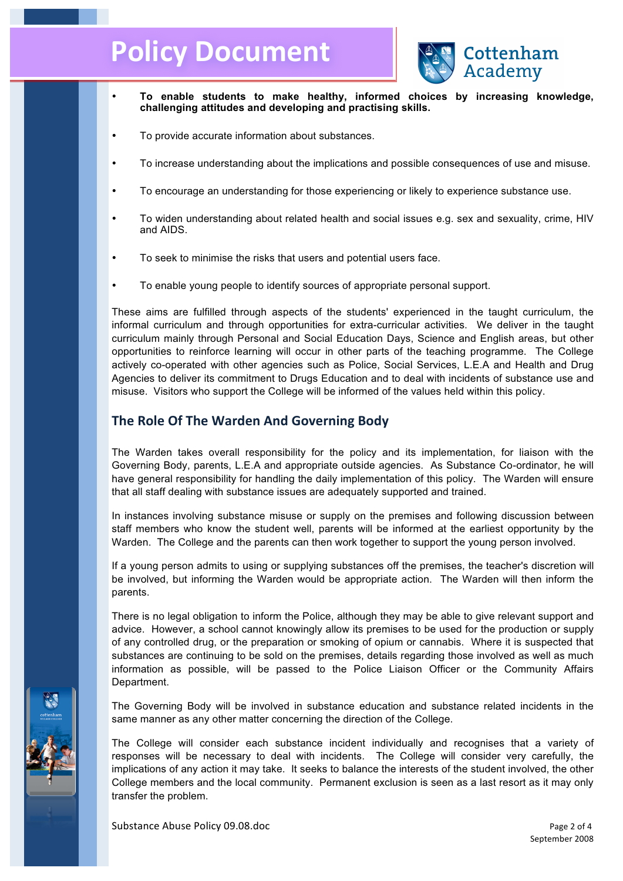# **Policy Document**



- **To enable students to make healthy, informed choices by increasing knowledge, challenging attitudes and developing and practising skills.**
- To provide accurate information about substances.
- To increase understanding about the implications and possible consequences of use and misuse.
- To encourage an understanding for those experiencing or likely to experience substance use.
- To widen understanding about related health and social issues e.g. sex and sexuality, crime, HIV and AIDS.
- To seek to minimise the risks that users and potential users face.
- To enable young people to identify sources of appropriate personal support.

These aims are fulfilled through aspects of the students' experienced in the taught curriculum, the informal curriculum and through opportunities for extra-curricular activities. We deliver in the taught curriculum mainly through Personal and Social Education Days, Science and English areas, but other opportunities to reinforce learning will occur in other parts of the teaching programme. The College actively co-operated with other agencies such as Police, Social Services, L.E.A and Health and Drug Agencies to deliver its commitment to Drugs Education and to deal with incidents of substance use and misuse. Visitors who support the College will be informed of the values held within this policy.

## **The Role Of The Warden And Governing Body**

The Warden takes overall responsibility for the policy and its implementation, for liaison with the Governing Body, parents, L.E.A and appropriate outside agencies. As Substance Co-ordinator, he will have general responsibility for handling the daily implementation of this policy. The Warden will ensure that all staff dealing with substance issues are adequately supported and trained.

In instances involving substance misuse or supply on the premises and following discussion between staff members who know the student well, parents will be informed at the earliest opportunity by the Warden. The College and the parents can then work together to support the young person involved.

If a young person admits to using or supplying substances off the premises, the teacher's discretion will be involved, but informing the Warden would be appropriate action. The Warden will then inform the parents.

There is no legal obligation to inform the Police, although they may be able to give relevant support and advice. However, a school cannot knowingly allow its premises to be used for the production or supply of any controlled drug, or the preparation or smoking of opium or cannabis. Where it is suspected that substances are continuing to be sold on the premises, details regarding those involved as well as much information as possible, will be passed to the Police Liaison Officer or the Community Affairs Department.

The Governing Body will be involved in substance education and substance related incidents in the same manner as any other matter concerning the direction of the College.

The College will consider each substance incident individually and recognises that a variety of responses will be necessary to deal with incidents. The College will consider very carefully, the implications of any action it may take. It seeks to balance the interests of the student involved, the other College members and the local community. Permanent exclusion is seen as a last resort as it may only transfer the problem.

Substance Abuse Policy 09.08.doc Page 2 of 4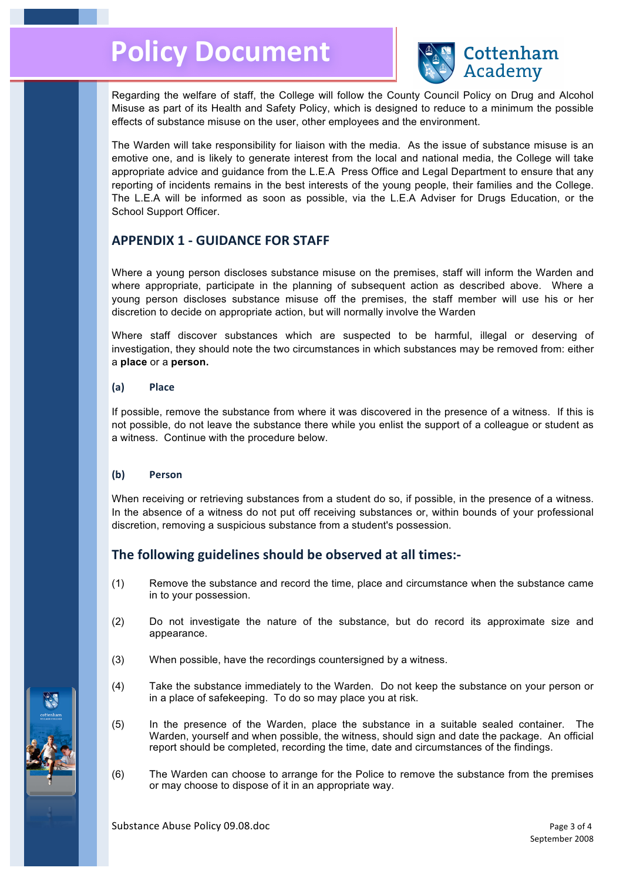

Regarding the welfare of staff, the College will follow the County Council Policy on Drug and Alcohol Misuse as part of its Health and Safety Policy, which is designed to reduce to a minimum the possible effects of substance misuse on the user, other employees and the environment.

The Warden will take responsibility for liaison with the media. As the issue of substance misuse is an emotive one, and is likely to generate interest from the local and national media, the College will take appropriate advice and guidance from the L.E.A Press Office and Legal Department to ensure that any reporting of incidents remains in the best interests of the young people, their families and the College. The L.E.A will be informed as soon as possible, via the L.E.A Adviser for Drugs Education, or the School Support Officer.

### **APPENDIX 1 - GUIDANCE FOR STAFF**

Where a young person discloses substance misuse on the premises, staff will inform the Warden and where appropriate, participate in the planning of subsequent action as described above. Where a young person discloses substance misuse off the premises, the staff member will use his or her discretion to decide on appropriate action, but will normally involve the Warden

Where staff discover substances which are suspected to be harmful, illegal or deserving of investigation, they should note the two circumstances in which substances may be removed from: either a **place** or a **person.**

#### **(a) Place**

If possible, remove the substance from where it was discovered in the presence of a witness. If this is not possible, do not leave the substance there while you enlist the support of a colleague or student as a witness. Continue with the procedure below.

#### **(b) Person**

When receiving or retrieving substances from a student do so, if possible, in the presence of a witness. In the absence of a witness do not put off receiving substances or, within bounds of your professional discretion, removing a suspicious substance from a student's possession.

## The following guidelines should be observed at all times:-

- (1) Remove the substance and record the time, place and circumstance when the substance came in to your possession.
- (2) Do not investigate the nature of the substance, but do record its approximate size and appearance.
- (3) When possible, have the recordings countersigned by a witness.
- (4) Take the substance immediately to the Warden. Do not keep the substance on your person or in a place of safekeeping. To do so may place you at risk.
- (5) In the presence of the Warden, place the substance in a suitable sealed container. The Warden, yourself and when possible, the witness, should sign and date the package. An official report should be completed, recording the time, date and circumstances of the findings.
- (6) The Warden can choose to arrange for the Police to remove the substance from the premises or may choose to dispose of it in an appropriate way.